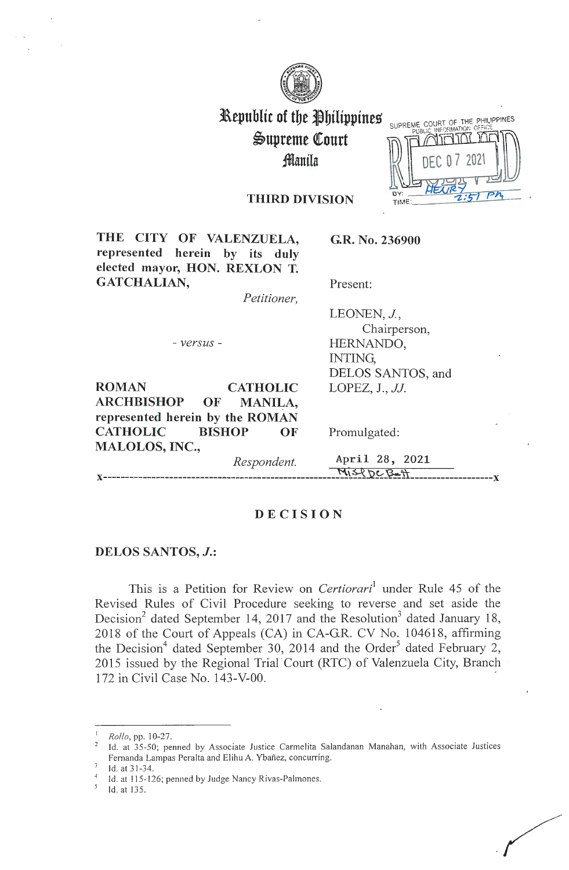

# Republic of the Philippines Supreme Court ~anila

SUPREME COURT OF THE PHILIPPINES TIME

### THIRD DIVISION

THE CITY OF VALENZUELA, represented herein by its duly elected mayor, HON. REXLON T. GATCHALIAN,

*Petitioner,* 

- *versus* -

**ROMAN CATHOLIC ARCHBISHOP OF MANILA, represented herein by the ROMAN CATHOLIC BISHOP OF MALOLOS, INC.,** 

Promulgated:

**G.R. No. 236900** 

Present:

INTING,

LEONEN, *J.*,

HERNANDO,

LOPEZ, J., *JJ.* 

Chairperson,

DELOS SANTOS, and

*Respondent.* April 28, 2021  $M_1$  $S_1$  $D_2$  $B_2$  $H_1$ 

### **DECISION**

#### **DELOS SANTOS,** *J.:*

This is a Petition for Review on *Certiorari*<sup>1</sup> under Rule 45 of the Revised Rules of Civil Procedure seeking to reverse and set aside the Decision<sup>2</sup> dated September 14, 2017 and the Resolution<sup>3</sup> dated January 18, 2018 of the Court of Appeals (CA) in CA-GR. CV No. 104618, affirming the Decision<sup>4</sup> dated September 30, 2014 and the Order<sup>5</sup> dated February 2, 2015 issued by the Regional Trial Court (RTC) of Valenzuela City, Branch 172 in Civil Case No. 143-V-00. -

*Rollo*, pp. 10-27.

Id. at 35-50; penned by Associate Justice Carmelita Salandanan Manahan, with Associate Justices Fernanda Lampas Peralta and Elihu A. Ybañez, concurring.

Id. at 31-34.<br>Id. at 115-126; penned by Judge Nancy Rivas-Palmones.

Id. at 135.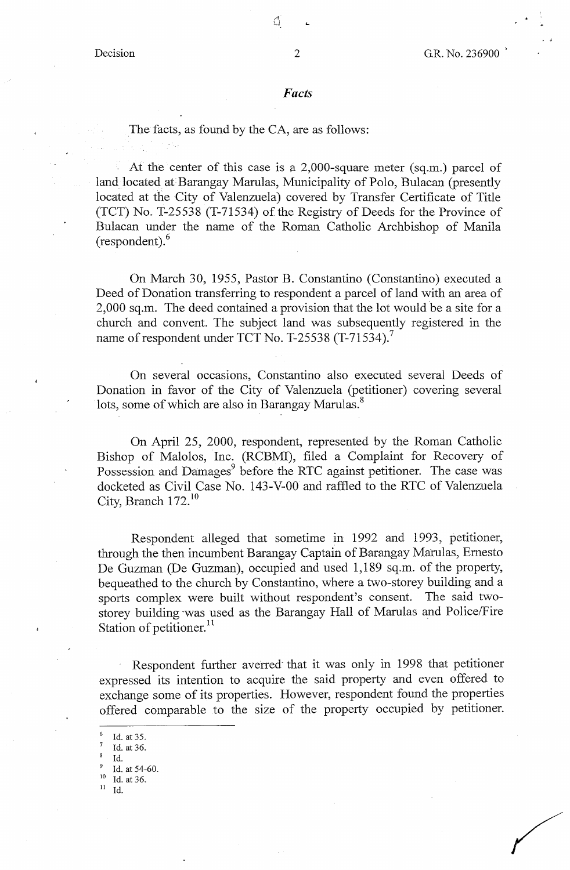$\Omega$ 

#### *Facts*

The facts, as found by the CA, are as follows:

At the center of this case is a 2,000-square meter (sq.m.) parcel of land located at Barangay Marulas, Municipality of Polo, Bulacan (presently located at the City of Valenzuela) covered by Transfer Certificate of Title (TCT) No. T-25538 (T-71534) of the Registry of Deeds for the Province of Bulacan under the name of the Roman Catholic Archbishop of Manila (respondent).<sup>6</sup>

On March 30, 1955, Pastor B. Constantino (Constantino) executed a Deed of Donation transferring to respondent a parcel of land with an area of 2,000 sq.m. The deed contained a provision that the lot would he a site for a church and convent. The subject land was subsequently registered in the name of respondent under TCT No. T-25538  $(T-71534)$ .

On several occasions, Constantino also executed several Deeds of Donation in favor of the City of Valenzuela (petitioner) covering several lots, some of which are also in Barangay Marulas.<sup>8</sup>

On April 25, 2000, respondent, represented by the Roman Catholic Bishop of Malolos, Inc. (RCBMI), filed a Complaint for Recovery of Possession and Damages<sup>9</sup> before the RTC against petitioner. The case was docketed as Civil Case No. 143-V-0O and raffled to the RTC of Valenzuela City, Branch  $172$ .<sup>10</sup>

Respondent alleged that sometime in 1992 and 1993, petitioner, through the then incumbent Barangay Captain of Barangay Matulas, Ernesto De Guzman (De Guzman), occupied and used 1,189 sq.m. of the property, bequeathed to the church by Constantino, where a two-storey building and a sports complex were built without respondent's consent. The said twostorey building was used as the Barangay Hall of Marulas and Police/Fire Station of petitioner.<sup>11</sup>

Respondent further averred· that it was only in 1998 that petitioner expressed its intention to acquire the said property and even offered to exchange some of its properties. However, respondent found the properties offered comparable to the size of the property occupied by petitioner.

- <sup>6</sup>Id. at 35.
- Id. at 36.
- Id.
- $\frac{9}{10}$  Id. at 54-60.
- $\frac{10}{11}$  Id. at 36.
- Id.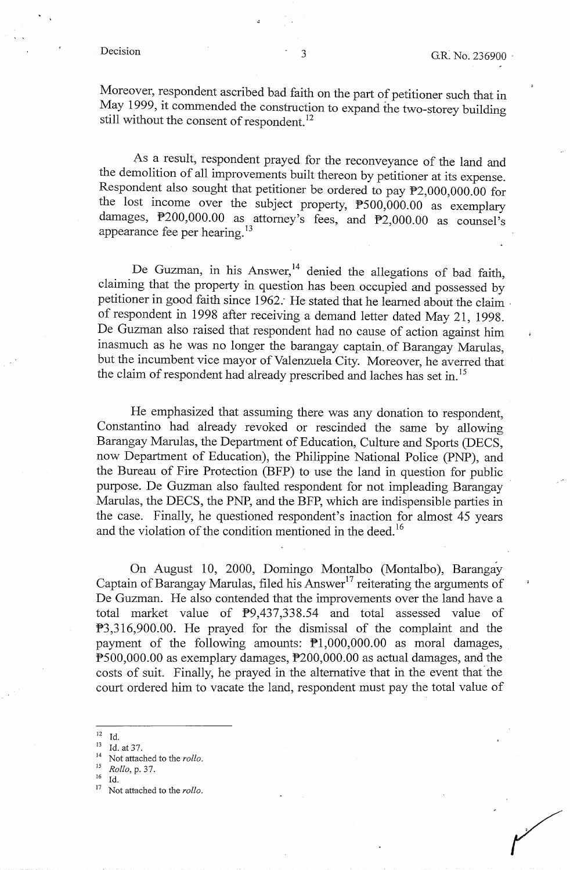Moreover, respondent ascribed bad faith on the part of petitioner such that in May 1999, it commended the construction to expand the two-storey building still without the consent of respondent.<sup>12</sup>

As a result, respondent prayed for the reconveyance of the land and the demolition of all improvements built thereon by petitioner at its expense. Respondent also sought that petitioner be ordered to pay  $\overline{P2,000,000.00}$  for the lost income over the subject property, P500,000.00 as exemplary damages, P200,000.00 as attorney's fees, and P2,000.00 as counsel's appearance fee per hearing.<sup>13</sup>

De Guzman, in his Answer,<sup>14</sup> denied the allegations of bad faith, claiming that the property in question has been occupied and possessed by petitioner in good faith since 1962. He stated that he learned about the claim of respondent in 1998 after receiving a demand letter dated May 21, 1998. De Guzman also raised that respondent had no cause of action against him inasmuch as he was no longer the barangay captain. of Barangay Marulas, but the incumbent vice mayor of Valenzuela City. Moreover, he averred that the claim of respondent had already prescribed and laches has set in. <sup>15</sup>

He emphasized that assuming there was any donation to respondent, Constantino had already revoked or rescinded the same by allowing Barangay Marulas, the Department of Education, Culture and Sports (DECS, now Department of Education), the Philippine National Police (PNP), and the Bureau of Fire Protection (BFP) to use the land in question for public purpose. De Guzman also faulted respondent for not impleading Barangay Marulas, the DECS, the PNP, and the BFP, which are indispensible parties in the case. Finally, he questioned respondent's inaction for almost 45 years and the violation of the condition mentioned in the deed.<sup>16</sup>

On August 10, 2000, Domingo Montalbo (Montalbo), Barangay Captain of Barangay Marulas, filed his Answer<sup>17</sup> reiterating the arguments of De Guzman. He also contended that the improvements over the land have a total market value of  $\overline{P}9,437,338.54$  and total assessed value of P3,316,900.00. He prayed for the dismissal of the complaint and the payment of the following amounts: Pl,000,000.00 as moral damages, P500,000.00 as exemplary damages, P200,000.00 as actual damages, and the costs of suit. Finally, he prayed in the alternative that in the event that the court ordered him to vacate the land, respondent must pay the total value of

<sup>12</sup> Id. 13 Id. at 37. 14 Not attached to the *rollo.* 

<sup>15</sup>*Rollo,* p. 37.

<sup>&</sup>lt;sup>16</sup> Id.<br><sup>17</sup> Not attached to the *rollo*.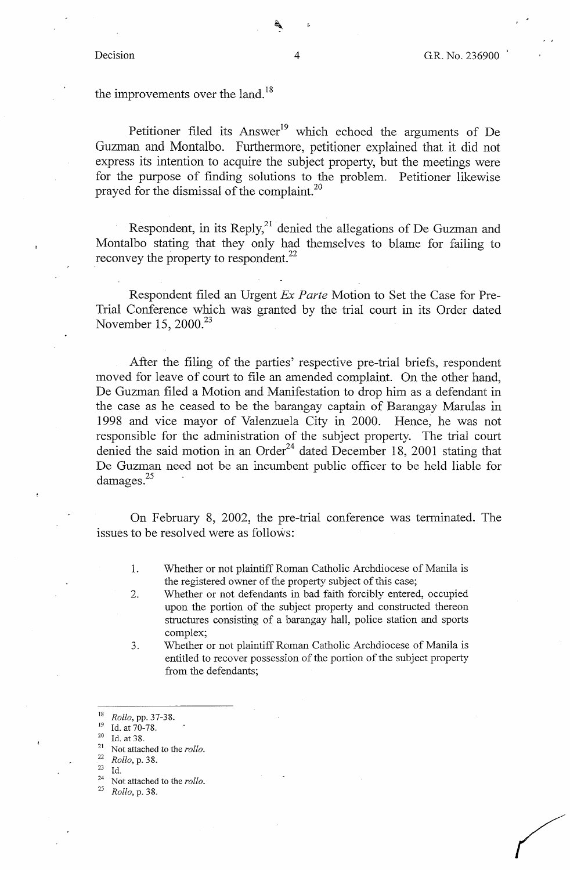the improvements over the land.<sup>18</sup>

Petitioner filed its Answer<sup>19</sup> which echoed the arguments of De Guzman and Montalbo. Furthermore, petitioner explained that it did not express its intention to acquire the subject property, but the meetings were for the purpose of finding solutions to the problem. Petitioner likewise prayed for the dismissal of the complaint.<sup>20</sup>

Respondent, in its Reply, $^{21}$  denied the allegations of De Guzman and Montalbo stating that they only had themselves to blame for failing to reconvey the property to respondent.<sup>22</sup>

Respondent filed an Urgent *Ex Parte* Motion to Set the Case for Pre-Trial Conference which was granted by the trial court in its Order dated November 15, 2000.<sup>23</sup>

After the filing of the parties' respective pre-trial briefs, respondent moved for leave of court to file an amended complaint. On the other hand, De Guzman filed a Motion and Manifestation to drop him as a defendant in the case as he ceased to be the barangay captain of Barangay Marulas in 1998 and vice mayor of Valenzuela City in 2000. Hence, he was not responsible for the administration of the subject property. The trial court denied the said motion in an Order<sup>24</sup> dated December 18, 2001 stating that De Guzman need not be an incumbent public officer to be held liable for damages.<sup>25</sup>

On February 8, 2002, the pre-trial conference was terminated. The issues to be resolved were as follows:

- 1. Whether or not plaintiff Roman Catholic Archdiocese of Manila is the registered owner of the property subject of this case;
- 2. Whether or not defendants in bad faith forcibly entered, occupied upon the portion of the subject property and constructed thereon structures consisting of a barangay hall, police station and sports complex;
- 3. Whether or not plaintiff Roman Catholic Archdiocese of Manila is entitled to recover possession of the portion of the subject property from the defendants;

- 
- 

<sup>25</sup>*Rollo,* p. 38.

<sup>&</sup>lt;sup>18</sup> *Rollo, pp.* 37-38.<br><sup>19</sup> Id. at 70-78.<br><sup>20</sup> Id. at 38.<br><sup>21</sup> Not attached to the *rollo*.

<sup>22</sup>*Rollo,* p. 38.

<sup>23</sup> Id. 24 Ncit attached to the *rollo.*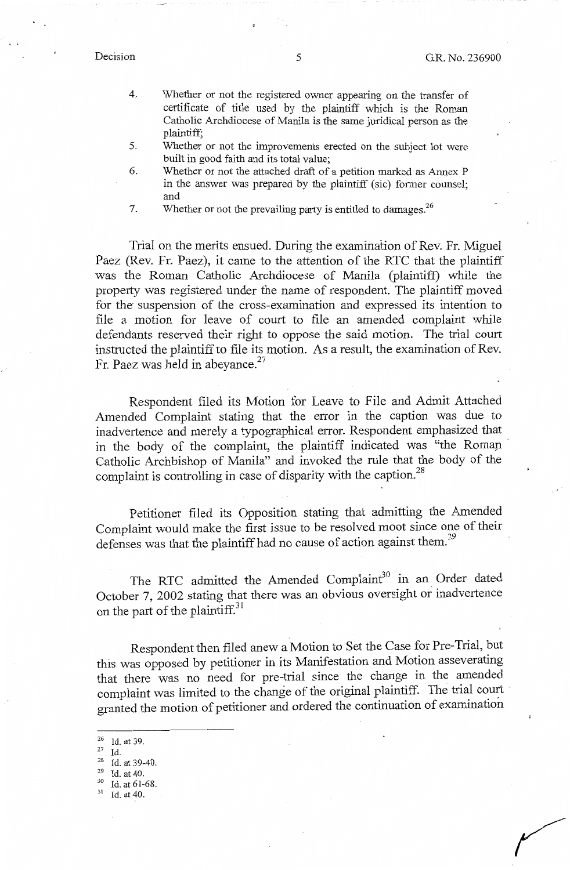- 4. Whether or not the registered owner appearing on the transfer of certificate of title used by the plaintiff which is the Roman Catholic Archdiocese of Manila is the same juridical person as the plaintiff;
- 5. Whether or not the improvements erected on the subject lot were built in good faith and its total value;
- 6. Whether or not the attached draft of a petition marked as Annex P in the answer was prepared by the plaintiff (sic) former counsel; and

7. Whether or not the prevailing party is entitled to damages.<sup>26</sup>

Trial on the merits ensued. During the examination of Rev. Fr. Miguel Paez (Rev. Fr. Paez), it came to the attention of the RTC that the plaintiff was the Roman Catholic Archdiocese of Manila (plaintiff) while the property was registered under the name of respondent. The plaintiff moved for the suspension of the cross-examination and expressed its intention to file a motion for leave of court to file an amended complaint while defendants reserved their right to oppose the said motion. The trial court instructed the plaintiff to file its motion. As a result, the examination of Rev. Fr. Paez was held in abeyance.<sup>27</sup>

Respondent filed its Motion for Leave to File and Admit Attached Amended Complaint stating that the error in the caption was due to inadvertence and merely a typographical error. Respondent emphasized that in the body of the complaint, the plaintiff indicated was "the Roman Catholic Archbishop of Manila" and invoked the rule that the body of the complaint is controlling in case of disparity with the caption.<sup>28</sup>

Petitioner filed its Opposition stating that admitting the Amended Complaint would make the first issue to be resolved moot since one of their defenses was that the plaintiff had no cause of action against them.<sup>29</sup>

The RTC admitted the Amended Complaint<sup>30</sup> in an Order dated October 7, 2002 stating that there was an obvious oversight or inadvertence on the part of the plaintiff.<sup>31</sup>

Respondent then filed anew a Motion to Set the Case for Pre-Trial, but this was opposed by petitioner in its Manifestation and Motion asseverating that there was no need for pre-trial since the change in the amended complaint was limited to the change of the original plaintiff. The trial court granted the motion of petitioner and ordered the continuation of examination

- 26 Id. at 39.<br>
<sup>28</sup> Id.<br>
<sup>28</sup> Id. at 39-40.<br>
<sup>29</sup> Id. at 40.<br>
<sup>30</sup> Id. at 40.
- 
- 
-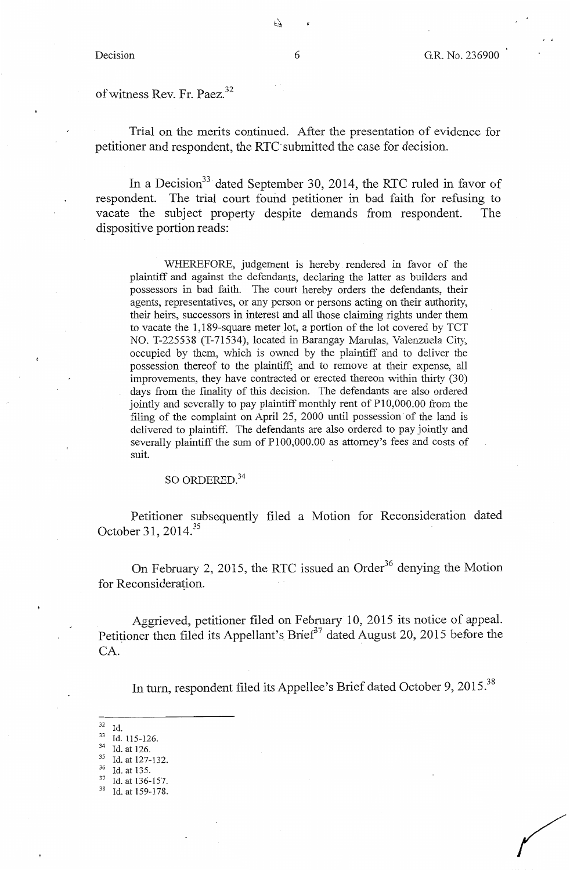of witness Rev. Fr. Paez.<sup>32</sup>

Trial on the merits continued. After the presentation of evidence for petitioner and respondent, the RTC submitted the case for decision.

In a Decision<sup>33</sup> dated September 30, 2014, the RTC ruled in favor of respondent. The trial court found petitioner in bad faith for refusing to vacate the subject property despite demands from respondent. The dispositive portion reads:

WHEREFORE, judgement is hereby rendered in favor of the plaintiff and against the defendants, declaring the latter as builders and possessors in bad faith. The court hereby orders the defendants, their agents, representatives, or any person or persons acting on their authority, their heirs, successors in interest and all those claiming rights under them to vacate the 1, 189-square meter lot, a portion of the lot covered by TCT NO. T-225538 (T-71534), located in Barangay Marulas, Valenzuela City, occupied by them, which is owned by the plaintiff and to deliver the possession thereof to the plaintiff; and to remove at their expense, all improvements, they have contracted or erected thereon within thirty (30) days from the finality of this decision. The defendants are also ordered jointly and severally to pay plaintiff monthly rent of P10,000.00 from the filing of the complaint on April 25, 2000 until possession of the land is delivered to plaintiff. The defendants are also ordered to pay jointly and severally plaintiff the sum of PI00,000.00 as attorney's fees and costs of suit.

SO ORDERED.<sup>34</sup>

Petitioner subsequently filed a Motion for Reconsideration dated October 31, 2014.<sup>35</sup>

On February 2, 2015, the RTC issued an Order<sup>36</sup> denying the Motion for Reconsideration.

Aggrieved, petitioner filed on February 10, 2015 its notice of appeal. Petitioner then filed its Appellant's Brief<sup>37</sup> dated August 20, 2015 before the CA.

In turn, respondent filed its Appellee's Brief dated October 9, 2015.<sup>38</sup>

- 
- 
- 32 Id.<br>
33 Id. 115-126.<br>
34 Id. at 126.<br>
35 Id. at 135.<br>
37 Id. at 136-157.<br>
38 Id. at 159-178.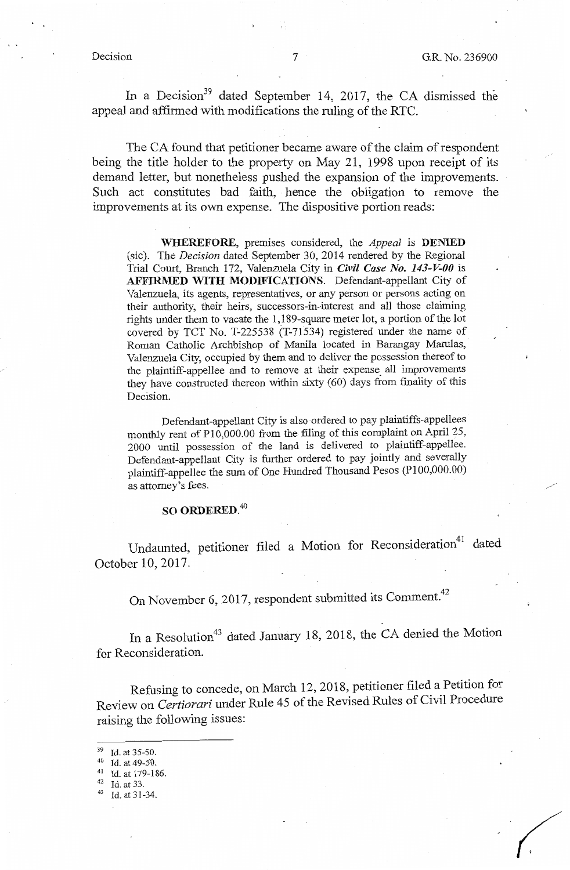In a Decision<sup>39</sup> dated September 14, 2017, the CA dismissed the appeal and affirmed with modifications the ruling of the RTC.

The CA found that petitioner became aware of the claim of respondent being the title holder to the property on May 21, 1998 upon receipt of its demand letter, but nonetheless pushed the expansion of the improvements. Such act constitutes bad faith, hence the obligation to remove the improvements at its own expense. The dispositive portion reads:

**WHEREFORE,** premises considered, the *Appeal* is **DENIED**  (sic). The *Decision* dated September 30, 2014 rendered by the Regional Trial Court, Branch 172, Valenzuela City in *Civil Case No. 143-V-00* is **AFFIRMED WITH MODIFICATIONS.** Defendant-appellant City of Valenzuela, its agents, representatives, or any person or persons acting on their authority, their heirs, successors-in-interest and all those claiming rights under them to vacate the 1,189-square meter lot, a portion of the lot covered by TCT No. T-225538 (T-71534) registered under the name of Roman Catholic Archbishop of Manila located in Barangay Marulas, Valenzuela City, occupied by them and to deliver the possession thereof to the plaintiff-appellee and to remove at their expense\_ all improvements they have constructed thereon within sixty (60) days from finality of this Decision.

Defendant-appellant City is also ordered to pay plaintiffs-appellees monthly rent of P10,000.00 from the filing of this complaint on April 25, 2000 until possession of the land is delivered to plaintiff-appellee. Defendant-appellant City is further ordered to pay jointly and severally plaintiff-appellee the sum of One Hundred Thousand Pesos (Pl00,000.00) as attorney's fees.

# **SO ORDERED.<sup>40</sup>**

Undaunted, petitioner filed a Motion for Reconsideration<sup>41</sup> dated October 10, 2017.

On November 6, 2017, respondent submitted its Comment.<sup>42</sup>

In a Resolution<sup>43</sup> dated January 18, 2018, the CA denied the Motion for Reconsideration.

Refusing to concede, on March 12, 2018, petitioner filed a Petition for Review on *Certiorari* under Rule 45 of the Revised Rules of Civil Procedure raising the following issues:

 $^{39}$  Id. at 35-50.<br><sup>40</sup> Id. at 49-50.

<sup>41</sup> Id. at 179-186.<br> $42$  Id. at 33.<br> $43$  Id. at 31-34.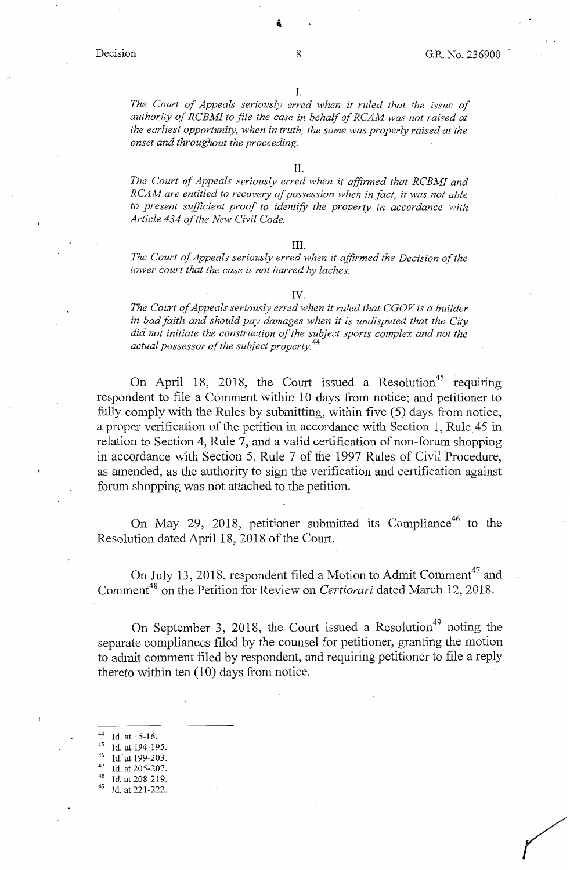*The Court of Appeals seriously erred when it ruled that the issue of authority of RCBMI to file the case in behalf of RCAM was not raised at the earliest opportunity, when in truth, the same was properly raised at the onset and throughout the proceeding.* 

*The Court of Appeals seriously erred when* it *affirmed that RCBMI and RCAM are entitled to recovery of possession when in fact, it was not able to present sufficient proof to identify the property in accordance with Article 434 of the New Civil Code.* 

#### III.

*The Court of Appeals seriously erred when it affirmed the Decision of the lower court that the case is not barred by !aches.* 

#### IV.

*The Court of Appeals seriously erred when it ruled that CGOV is a builder in bad faith and should pay damages when* it *is undisputed that the City did not initiate the construction of the subject sports complex and not the actual possessor of the subject property.* <sup>44</sup>

On April 18, 2018, the Court issued a Resolution<sup>45</sup> requiring respondent to file a Comment within 10 days from notice; and petitioner to fully comply with the Rules by submitting, within five (5) days from notice, a proper verification of the petition in accordance with Section 1, Rule 45 in relation to Section 4, Rule 7, and a valid certification of non-forum shopping in accordance with Section 5, Rule 7 of the 1997 Rules of Civil Procedure, as amended, as the authority to sign the verification and certification against forum shopping was not attached to the petition.

On May 29, 2018, petitioner submitted its Compliance<sup>46</sup> to the Resolution dated April 18, 2018 of the Court.

On July 13, 2018, respondent filed a Motion to Admit Comment<sup>47</sup> and Comment<sup>48</sup> on the Petition for Review on *Certiorari* dated March 12, 2018.

On September 3, 2018, the Court issued a Resolution<sup>49</sup> noting the separate compliances filed by the counsel for petitioner, granting the motion to admit comment filed by respondent, and requiring petitioner to file a reply thereto within ten (10) days from notice.

44 Id. at 15-16.<br>
45 Id. at 194-195.<br>
46 Id. at 199-203.<br>
47 Id. at 205-207.<br>
48 Id. at 208-219.<br>
49 Id. at 221-222.

- 
- 
- 
-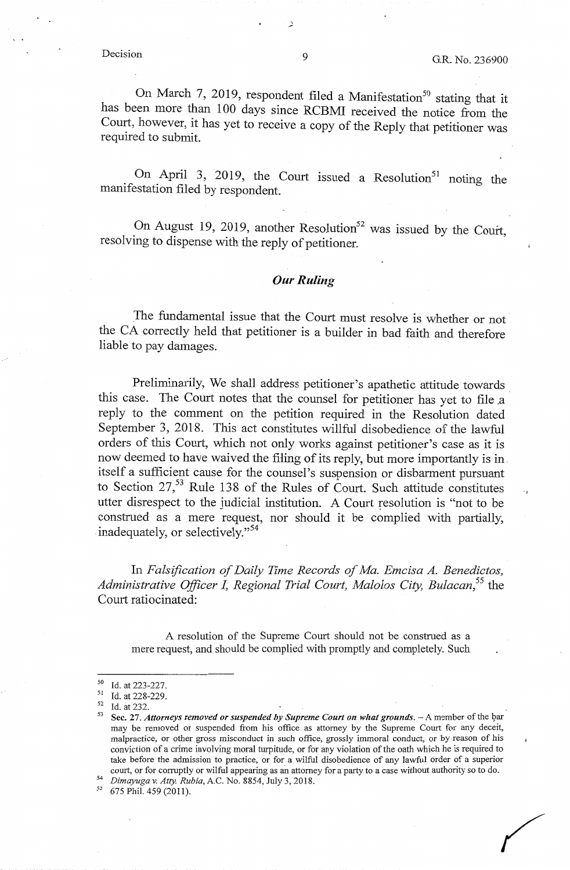#### Decision

On March 7, 2019, respondent filed a Manifestation<sup>50</sup> stating that it has been more than 100 days since RCBMI received the notice from the Court, however, it has yet to receive a copy of the Reply that petitioner was required to submit.

On April 3, 2019, the Court issued a Resolution<sup>51</sup> noting the manifestation filed by respondent.

On August 19, 2019, another Resolution<sup>52</sup> was issued by the Court, resolvmg to dispense with the reply of petitioner.

### *Our Ruling*

The fundamental issue that the Court must resolve is whether or not the CA correctly held that petitioner is a builder in bad faith and therefore liable to pay damages.

Preliminarily, We shall address petitioner's apathetic attitude towards. this case. The Court notes that the counsel for petitioner has yet to file a reply to the comment on the petition required in the Resolution dated September 3, 2018. This act constitutes willful disobedience of the lawful orders of this Court, which not only works against petitioner's case as it is now deemed to have waived the filing of its reply, but more importantly is in. itself a sufficient cause for the counsel's suspension or disbarment pursuant to Section  $27<sup>53</sup>$  Rule 138 of the Rules of Court. Such attitude constitutes utter disrespect to the judicial institution. A Court resolution is "not to be construed as a mere request, nor should it be complied with partially, inadequately, or selectively."<sup>54</sup>

In *Falsification of Daily Time Records of Ma. Emcisa A. Benedictos, Administrative Officer I, Regional Trial Court, Malolos City, Bulacan,* 55 the Court ratiocinated:

A resolution of the Supreme Court should not be construed as a mere request, and should be complied with promptly and completely. Such

-'

<sup>50</sup> Id. at 223-227.<br>51 Id. at 228-229.<br>52 Id. at 232.<br>53 Sec. 27. *Attorneys removed or suspended by Supreme Court on what grounds.* - A member of the bar may be removed or suspended from his office as attorney by the Supreme Court for any deceit, malpractice, or other gross misconduct in such office, grossly immoral conduct, or by reason of his conviction of a crime involving moral turpitude, or for any violation of the oath which he is required to take before the admission to practice, or for a wilful disobedience of any lawful order of a superior court, or for corruptly or wilful appearing as an attorney for a party to a case without authority so to do. *Dimayuga v. Atty. Rubia*, A.C. No. 8854, July 3, 2018. 575 Phil. 459 (2011).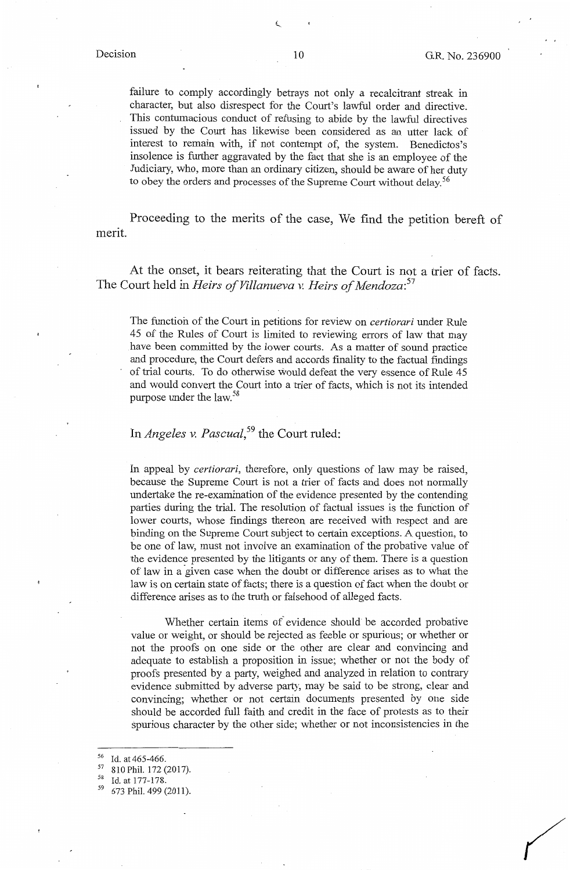failure to comply accordingly betrays not only a recalcitrant streak in character, but also disrespect for the Court's lawful order and directive. This contumacious conduct of refusing to abide by the lawful directives issued by the Court has likewise been considered as an utter lack of interest to remain with, if not contempt of, the system. Benedictos's insolence is further aggravated by the fact that she is an employee of the Judiciary, who, more than an ordinary citizen, should be aware of her duty to obey the orders and processes of the Supreme Court without delay.<sup>56</sup>

Proceeding to the merits of the case, We find the petition bereft of merit.

At the onset, it bears reiterating that the Court is not a trier of facts. The Court held in *Heirs of Villanueva v. Heirs of Mendoza: <sup>57</sup>*

The function of the Court in petitions for review on *certiorari* under Rule 45 of the Rules of Court is limited to reviewing errors of law that may have been committed by the lower courts. As a matter of sound practice and procedure, the Court defers and accords finality to the factual findings of trial courts. To do otherwise would defeat the very essence of Rule 45 and would convert the Court into a trier of facts, which is not its intended purpose under the law.<sup>58</sup>

# In *Angeles v. Pascual,<sup>59</sup>*the Court ruled:

In appeal by *certiorari,* therefore, only questions of law may be raised, because the Supreme Court is not a trier of facts and does not normally undertake the re-examination of the evidence presented by the contending parties during the trial. The resolution of factual issues is the function of lower courts, whose findings thereon are received with respect and are binding on the Supreme Court subject to certain exceptions. A question, to be one of law, must not involve an examination of the probative value of the evidence presented by the litigants or any of them. There is a question of law in a given case when the doubt or difference arises as to what the law is on certain state of facts; there is a question of fact when the doubt or difference arises as to the truth or falsehood of alleged facts.

Whether certain items *of* evidence should be accorded probative value or weight, or should be rejected as feeble or spurious; or whether or not the proofs on one side or the other are clear and convincing and adequate to establish a proposition in issue; whether or not the body of proofs presented by a party, weighed and analyzed in relation to contrary evidence submitted by adverse party, may be said to be strong, clear and convincing; whether or not certain documents presented by one side should be accorded full faith and credit in the face of protests as to their spurious character by the other side; whether or not inconsistencies in the

<sup>&</sup>lt;sup>56</sup> Id. at 465-466.<br><sup>57</sup> 810 Phil. 172 (2017).<br><sup>58</sup> Id. at 177-178.

<sup>59 673</sup> Phil. 499 (2011).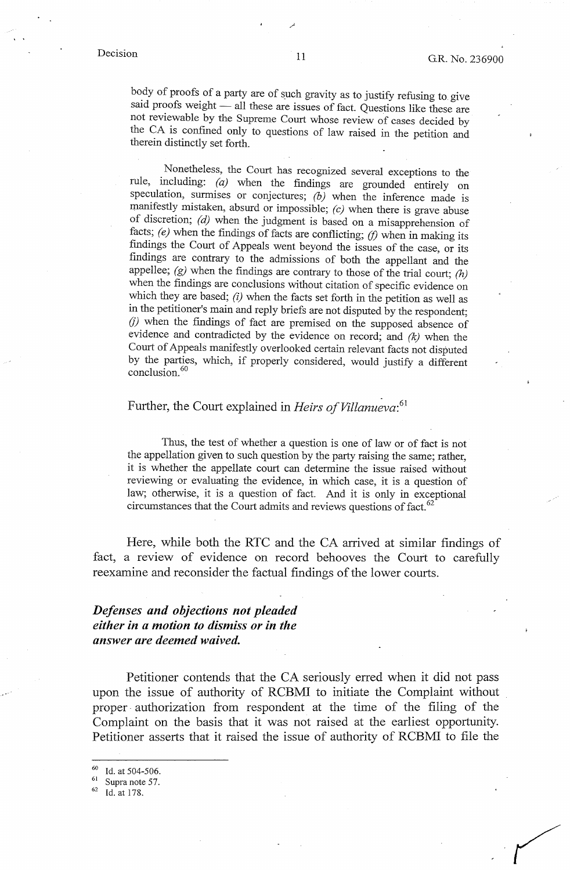body of proofs of a party are of such gravity as to justify refusing to give said proofs weight - all these are issues of fact. Questions like these are not reviewable by the Supreme Court whose review of cases decided by the CA is confined only to questions of law raised in the petition and therein distinctly set forth.

Nonetheless, the Court has recognized several exceptions to the rule, including: *(a)* when the findings are grounded entirely on speculation, surmises or conjectures; *(b)* when the inference made is manifestly mistaken, absurd or impossible; *(c)* when there is grave abuse of discretion; *(d)* when the judgment is based on a misapprehension of facts; *(e)* when the findings of facts are conflicting; *(f)* when in making its findings the Court of Appeals went beyond the issues of the case, or its findings are contrary to the admissions of both the appellant and the appellee; *(g)* when the findings are contrary to those of the trial court; *(h)*  when the findings are conclusions without citation of specific evidence on which they are based; *(i)* when the facts set forth in the petition as well as in the petitioner's main and reply briefs are not disputed by the respondent;  $(j)$  when the findings of fact are premised on the supposed absence of evidence and contradicted by the evidence on record; and *(k)* when the Court of Appeals manifestly overlooked certain relevant facts not disputed by the parties, which, if properly considered, would justify a different conclusion. <sup>60</sup>

### Further, the Court explained in *Heirs of Villanueva*:<sup>61</sup>

Thus, the test of whether a question is one of law or of fact is not the appellation given to such question by the party raising the same; rather, it is whether the appellate court can determine the issue raised without reviewing or evaluating the evidence, in which case, it is a question of law; otherwise, it is a question of fact. And it is only in exceptional circumstances that the Court admits and reviews questions of fact.<sup>62</sup>

Here, while both the RTC and the CA arrived at similar findings of fact, a review of evidence on record behooves the Court to carefully reexamine and reconsider the factual findings of the lower courts.

# *Defenses and objections not pleaded either in a motion to dismiss or in the answer are deemed waived.*

Petitioner contends that the CA seriously erred when it did not pass upon the issue of authority of RCBMI to initiate the Complaint without proper. authorization from respondent at the time of the filing of the Complaint on the basis that it was not raised at the earliest opportunity. Petitioner asserts that it raised the issue of authority of RCBMI to file the

Id. at 504-506.

 $rac{61}{62}$  Supra note 57.<br>
Id. at 178.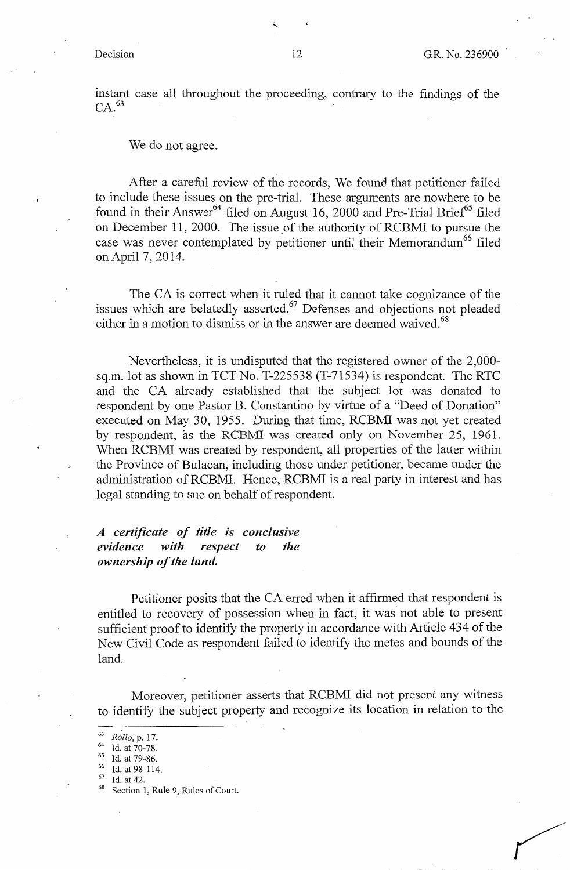instant case all throughout the proceeding, contrary to the findings of the  $CA.<sup>63</sup>$ 

We do not agree.

After a careful review of the records, We found that petitioner failed to include these issues on the pre-trial. These arguments are nowhere to be found in their Answer<sup>64</sup> filed on August 16, 2000 and Pre-Trial Brief<sup>65</sup> filed on December 11, 2000. The issue of the authority of RCBMI to pursue the case was never contemplated by petitioner until their Memorandum<sup>66</sup> filed on April 7, 2014.

The CA is correct when it ruled that it cannot take cognizance of the issues which are belatedly asserted.<sup>67</sup> Defenses and objections not pleaded either in a motion to dismiss or in the answer are deemed waived.<sup>68</sup>

Nevertheless, it is undisputed that the registered owner of the 2,000 sq.m. lot as shown in TCT No. T-225538 (T-71534) is respondent. The RTC and the CA already established that the subject lot was donated to respondent by one Pastor B. Constantino by virtue of a "Deed of Donation" executed on May 30, 1955. During that time, RCBMI was not yet created by respondent, as the RCBMI was created only on November 25, 1961. When RCBMI was created by respondent, all properties of the latter within the Province of Bulacan, including those under petitioner, became under the administration of RCBMI. Hence, RCBMI is a real party in interest and has legal standing to sue on behalf of respondent.

*A certificate of title is conclusive evidence with respect to the ownership of the land.* 

Petitioner posits that the CA erred when it affirmed that respondent is entitled to recovery of possession when in fact, it was not able to present sufficient proof to identify the property in accordance with Article 434 of the New Civil Code as respondent failed to identify the metes and bounds of the land.

Moreover, petitioner asserts that RCBMI did not present any witness to identify the subject property and recognize its location in relation to the

<sup>&</sup>lt;sup>64</sup> Id. at 70-78.<br><sup>64</sup> Id. at 70-78.<br><sup>65</sup> Id. at 79-86.<br><sup>66</sup> Id. at 42.<br><sup>67</sup> Id. at 42.<br><sup>68</sup> Section 1, Rule 9, Rules of Court.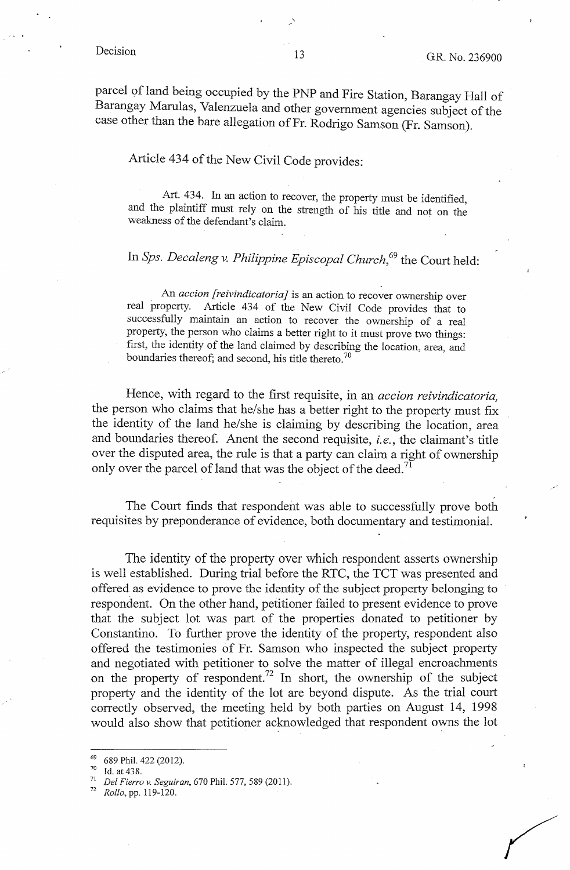parcel of land being occupied by the PNP and Fire Station, Barangay Hall of Barangay Marulas, Valenzuela and other government agencies subject of the case other than the bare allegation of Fr. Rodrigo Samson (Fr. Samson).

# Article 434 of the New Civil Code provides:

Art. 434. In an action to recover, the property must be identified, and the plaintiff must rely on the strength of his title and not on the weakness of the defendant's claim.

# In *Sps. Decaleng v. Philippine Episcopal Church*,<sup>69</sup> the Court held:

. An *accion [reivindicatoria]* is an action to recover ownership over real property. Article 434 of the New Civil Code provides that to successfully maintain an action to recover the ownership of a real property, the person who claims a better right to it must prove two things: first, the identity of the land claimed by describing the location, area, and boundaries thereof; and second, his title thereto.<sup>70</sup>

Hence, with regard to the first requisite, in an *accion reivindicatoria,*  the person who claims that he/she has a better right to the property must fix the identity of the land he/she is claiming by describing the location, area and boundaries thereof. Anent the second requisite, *i.e.*, the claimant's title over the disputed area, the rule is that a party can claim a right of ownership only over the parcel of land that was the object of the deed.<sup>71</sup>

The Court finds that respondent was able to successfully prove both requisites by preponderance of evidence, both documentary and testimonial.

The identity of the property over which respondent asserts ownership is well established. During trial before the RTC, the TCT was presented and offered as evidence to prove the identity of the subject property belonging to respondent. On the other hand, petitioner failed to present evidence to prove that the subject lot was part of the properties donated to petitioner by Constantino. To further prove the identity of the property, respondent also offered the testimonies of Fr. Samson who inspected the subject property and negotiated with petitioner to solve the matter of illegal encroachments on the property of respondent.<sup>72</sup> In short, the ownership of the subject property and the identity of the lot are beyond dispute. As the trial court correctly observed, the meeting held by both parties on August 14, 1998 would also show that petitioner acknowledged that respondent owns the lot

<sup>69 689</sup> Phil. 422 (2012).

<sup>70</sup>Id. at 438. 71 *Del Fierro v. Seguiran,* 670 Phil. 577, 589 (2011).

<sup>72</sup>*Rollo,* pp. 119-120.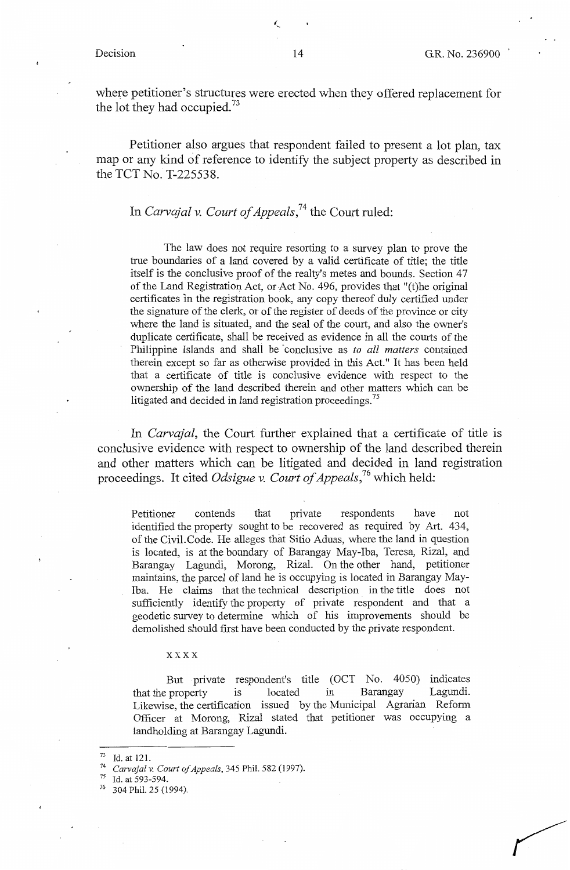where petitioner's structures were erected when they offered replacement for the lot they had occupied.<sup>73</sup>

Petitioner also argues that respondent failed to present a lot plan, tax map or any kind of reference to identify the subject property as described in the TCT No. T-225538.

## In *Carvajal v. Court of Appeals,74* the Court ruled:

The law does not require resorting to a survey plan to prove the true boundaries of a land covered by a valid certificate of title; the title itself is the conclusive proof of the realty's metes and bounds. Section 47 of the Land Registration Act, or Act No. 496, provides that "(t)he original certificates in the registration book, any copy thereof duly certified under the signature of the clerk, or of the register of deeds of the province or city where the land is situated, and the seal of the court, and also the owner's duplicate certificate, shall be received as evidence in all the courts of the Philippine Islands and shall be -conclusive as *to all matters* contained therein except so far as otherwise provided in this Act." It has been held that a certificate of title is conclusive evidence with respect to the ownership of the land described therein and other matters which can be litigated and decided in land registration proceedings.<sup>75</sup>

In *Carvajal,* the Court further explained that a certificate of title is conclusive evidence with respect to ownership of the land described therein and other matters which can be litigated and decided in land registration proceedings. It cited *Odsigue v. Court of Appeals*,<sup>76</sup> which held:

Petitioner contends that private respondents have not identified the property sought to be recovered as required by Art. 434, of the Civil. Code. He alleges that Sitio Aduas, where the land in question is located, is at the boundary of Barangay May-Iba, Teresa, Rizal, and Barangay Lagundi, Morong, Rizal. On the other hand, petitioner maintains, the parcel of land he is occupying is located in Barangay May-Iba. He claims that the technical description in the title does not sufficiently identify the property of private respondent and that a geodetic survey to determine which of his improvements should be demolished should first have been conducted by the private respondent.

#### xxxx

But private respondent's title (OCT No. 4050) indicates that the property is located in Barangay Lagundi. Likewise, the certification issued by the Municipal Agrarian Reform Officer at Morong, Rizal stated that petitioner was occupying a landholding at Barangay Lagundi.

<sup>73</sup> Id. at 121. 74 *Carvajal v. Court of Appeals,* 345 Phil. 582 (1997). 75 Id. at 593-594.

<sup>304</sup> Phil. 25 (1994).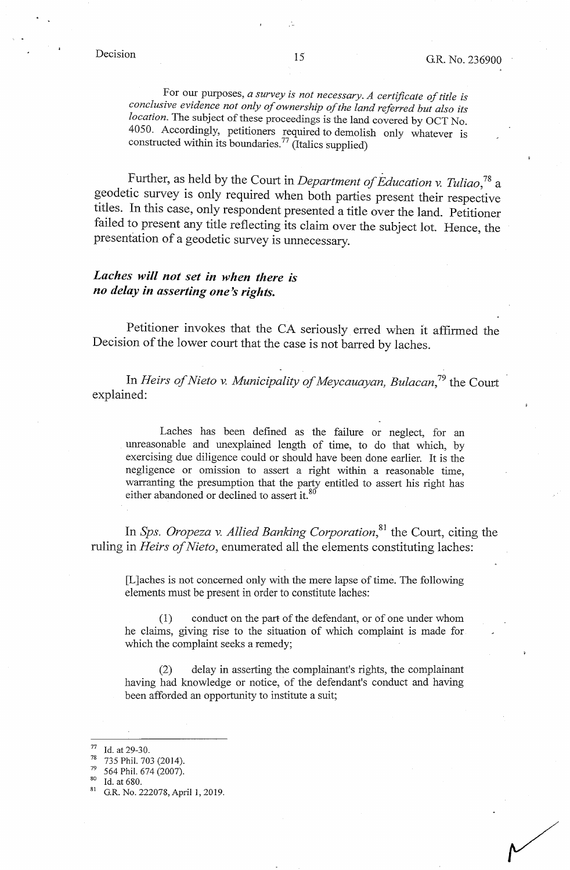For our purposes, *a survey is not necessary. A certificate of title is conclusive evidence not only of ownership of the land referred but also its location*. The subject of these proceedings is the land covered by OCT No. 4050. Accordingly, petitioners required to demolish only whatever is constructed within its boundaries.<sup>77</sup> (Italics supplied)

Further, as held by the Court in *Department of Education v. Tuliao,*78 a geodetic survey is only required when both parties present their respective titles. In this case, only respondent presented a title over the land. Petitioner failed to present any title reflecting its claim over the subject lot. Hence, the presentation of a geodetic survey is unnecessary.

# *Laches will not set in when there is no delay in asserting one's rights.*

Petitioner invokes that the CA seriously erred when it affirmed the Decision of the lower court that the case is not barred by laches.

In *Heirs of Nieto v. Municipality of Meycauayan, Bulacan*,<sup>79</sup> the Court explained:

Laches has been defined as the failure or neglect, for an unreasonable and unexplained length of time, to do that which, by exercising due diligence could or should have been done earlier. It is the negligence or omission to assert a right within a reasonable time, warranting the presumption that the party entitled to assert his right has either abandoned or declined to assert it.<sup>80</sup>

In *Sps. Oropeza v. Allied Banking Corporation*<sup>81</sup>, the Court, citing the ruling in *Heirs of Nieto,* enumerated all the elements constituting laches:

[L ]aches is not concerned only with the mere lapse of time. The following elements must be present in order to constitute laches:

(1) conduct on the part of the defendant, or of one under whom he claims, giving rise to the situation of which complaint is made for which the complaint seeks a remedy;

(2) delay in asserting the complainant's rights, the complainant having had knowledge or notice, of the defendant's conduct and having been afforded an opportunity to institute a suit;

Id. at 29-30.<br>735 Phil. 703 (2014).

 $\frac{79}{80}$  564 Phil. 674 (2007).<br>
<sup>80</sup> Id. at 680.<br>
<sup>81</sup> G.R. No. 222078, April 1, 2019.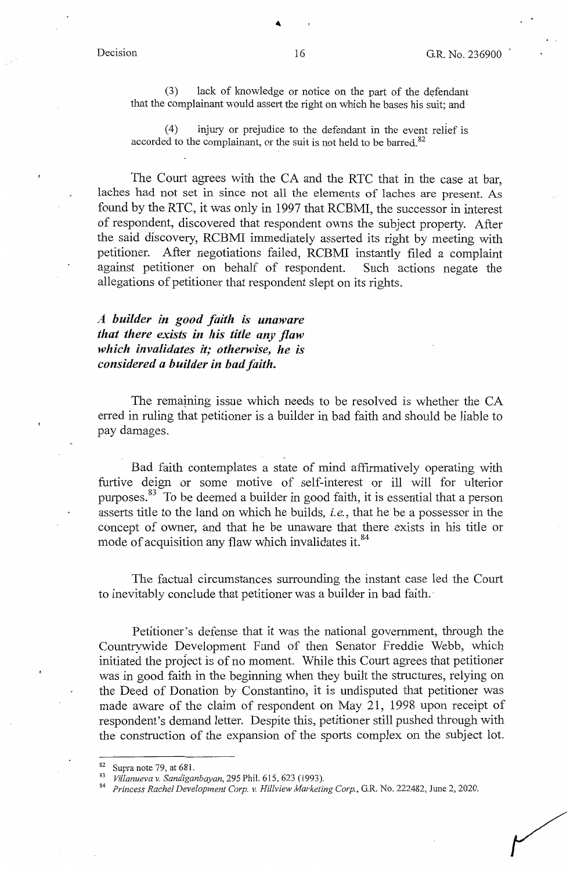(3) lack of knowledge or notice on the part of the defendant that the complainant would assert the right on which he bases his suit; and

(4) injury or prejudice to the defendant in the event relief is accorded to the complainant, or the suit is not held to be barred.<sup>82</sup>

The Court agrees with the CA and the RTC that in the case at bar, laches had not set in since not all the elements of laches are present. As found by the RTC, it was only in 1997 that RCBMI, the successor in interest of respondent, discovered that respondent owns the subject property. After the said discovery, RCBMI immediately asserted its right by meeting with petitioner. After negotiations failed, RCBMI instantly filed a complaint against petitioner on behalf of respondent. Such actions negate the allegations of petitioner that respondent slept on its rights.

*A builder in good faith is unaware that there exists in his title any flaw which invalidates it; otherwise, he is considered a builder in bad faith.* 

The remaining issue which needs to be resolved is whether the CA erred in ruling that petitioner is a builder in bad faith and should be liable to pay damages.

Bad faith contemplates a state of mind affirmatively operating with furtive deign or some motive of self-interest or ill will for ulterior purposes.<sup>83</sup> To be deemed a builder in good faith, it is essential that a person asserts title to the land on which he builds, *i.e.,* that he be a possessor in the concept of owner, and that he be unaware that there exists in his title or mode of acquisition any flaw which invalidates it.<sup>84</sup>

The factual circumstances surrounding the instant case led the Court to inevitably conclude that petitioner was a builder in bad faith. -

Petitioner's defense that it was the national government, through the Countrywide Development Fund of then Senator Freddie Webb, which initiated the project is of no moment. While this Court agrees that petitioner was in good faith in the beginning when they built the structures, relying on the Deed of Donation by Constantino, it is undisputed that petitioner was made aware of the claim of respondent on May 21, 1998 upon receipt of respondent's demand letter. Despite this, petitioner still pushed through with the construction of the expansion of the sports complex on the subject lot.

<sup>82</sup> Supra note 79, at 681.<br>83 *Villanueva v. Sandiganbayan*, 295 Phil. 615, 623 (1993). 84 *Princess Rachel Development Corp. v. Hillview Marketing Corp.*, G.R. No. 222482, June 2, 2020.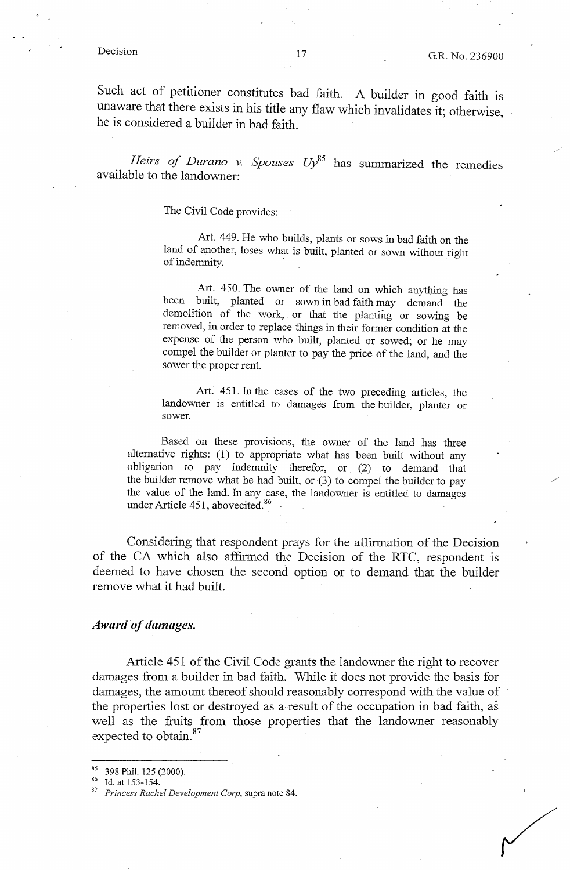Such act of petitioner constitutes bad faith. A builder in good faith is unaware that there exists in his title any flaw which invalidates it; otherwise, he is considered a builder in bad faith.

Heirs of Durano v. Spouses Uy<sup>85</sup> has summarized the remedies available to the landowner:

The Civil Code provides:

Art. 449. He who builds, plants or sows in bad faith on the land of another, loses what is built, planted or sown without right of indemnity.  $\frac{1}{2}$   $\frac{1}{2}$   $\frac{1}{2}$   $\frac{1}{2}$   $\frac{1}{2}$   $\frac{1}{2}$   $\frac{1}{2}$   $\frac{1}{2}$   $\frac{1}{2}$   $\frac{1}{2}$   $\frac{1}{2}$   $\frac{1}{2}$   $\frac{1}{2}$   $\frac{1}{2}$   $\frac{1}{2}$   $\frac{1}{2}$   $\frac{1}{2}$   $\frac{1}{2}$   $\frac{1}{2}$   $\frac{1}{2}$   $\frac{1}{2$ 

Art. 450. The owner of the land on which anything has been built, planted or sown in bad faith may demand the demolition of the work, . or that the planting or sowing be removed, in order to replace things in their former condition at the expense of the person who built, planted or sowed; or he may compel the builder or planter to pay the price of the land, and the sower the proper rent.

Art. 451. In the cases of the two preceding articles, the landowner is entitled to damages from the builder, planter or sower.

Based on these provisions, the owner of the land has three alternative rights: (1) to appropriate what has been built without any obligation to pay indemnity therefor, or (2) to demand that the builder remove what he had built, or (3) to compel the builder to pay the value of the land. In any case, the landowner is entitled to damages under Article 451, abovecited. $86$ .

Considering that respondent prays for the affirmation of the Decision of the CA which also affirmed the Decision of the RTC, respondent is deemed to have chosen the second option or to demand that the builder remove what it had built.

#### *Award of damages.*

Article 451 of the Civil Code grants the landowner the right to recover damages from a builder in bad faith. While it does not provide the basis for damages, the amount thereof should reasonably correspond with the value of the properties lost or destroyed as a result of the occupation in bad faith, as well as the fruits from those properties that the landowner reasonably expected to obtain.<sup>87</sup>

<sup>&</sup>lt;sup>85</sup> 398 Phil. 125 (2000).<br><sup>86</sup> Id. at 153-154.<br><sup>87</sup> *Princess Rachel Development Corp*, supra note 84.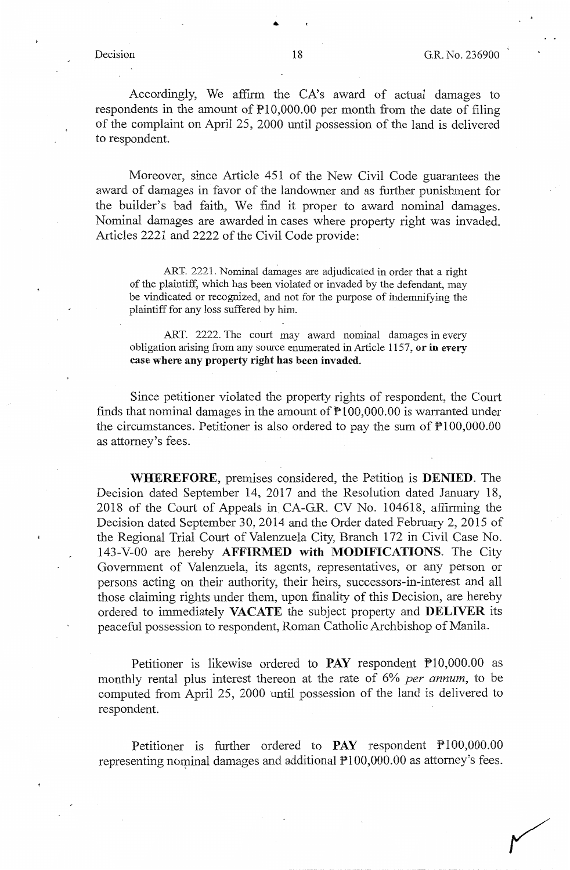Accordingly, We affirm the CA's award of actual damages to respondents in the amount of  $P10,000.00$  per month from the date of filing of the complaint on April 25, 2000 until possession of the land is delivered to respondent.

Moreover, since Article 451 of the New Civil Code guarantees the award of damages in favor of the landowner and as further punishment for the builder's bad faith, We find it proper to award nominal damages. Nominal damages are awarded in cases where property right was invaded. Articles 2221 and 2222 of the Civil Code provide:

ART. 2221. Nominal damages are adjudicated in order that a right of the plaintiff, which has been violated or invaded by the defendant, may be vindicated or recognized, and not for the purpose of indemnifying the plaintiff for any loss suffered by him.

ART. 2222. The court may award nominal damages in every obligation arising from any source enumerated in Article 1157, **or in every case where any property right has been invaded.** 

Since petitioner violated the property rights of respondent, the Court finds that nominal damages in the amount of  $P100,000.00$  is warranted under the circumstances. Petitioner is also ordered to pay the sum of  $\mathbb{P}100,000.00$ as attorney's fees.

**WHEREFORE,** premises considered, the Petition is **DENIED.** The Decision dated September 14, 2017 and the Resolution dated January 18, 2018 of the Court of Appeals in CA-G.R. CV No. 104618, affirming the Decision dated September 30, 2014 and the Order dated February 2, 2015 of the Regional Trial Court of Valenzuela City, Branch 172 in Civil Case No. 143-V-00 are hereby **AFFIRMED with MODIFICATIONS.** The City Government of Valenzuela, its agents, representatives, or any person or persons acting on their authority, their heirs, successors-in-interest and all those claiming rights under them, upon finality of this Decision, are hereby ordered to immediately **VACATE** the subject property and **DELIVER** its peaceful possession to respondent, Roman Catholic Archbishop of Manila.

Petitioner is likewise ordered to **PAY** respondent Pl0,000.00 as monthly rental plus interest thereon at the rate of 6% *per annum,* to be computed from April 25, 2000 until possession of the land is delivered to respondent.

Petitioner is further ordered to PAY respondent P100,000.00 representing nominal damages and additional  $P100,000.00$  as attorney's fees.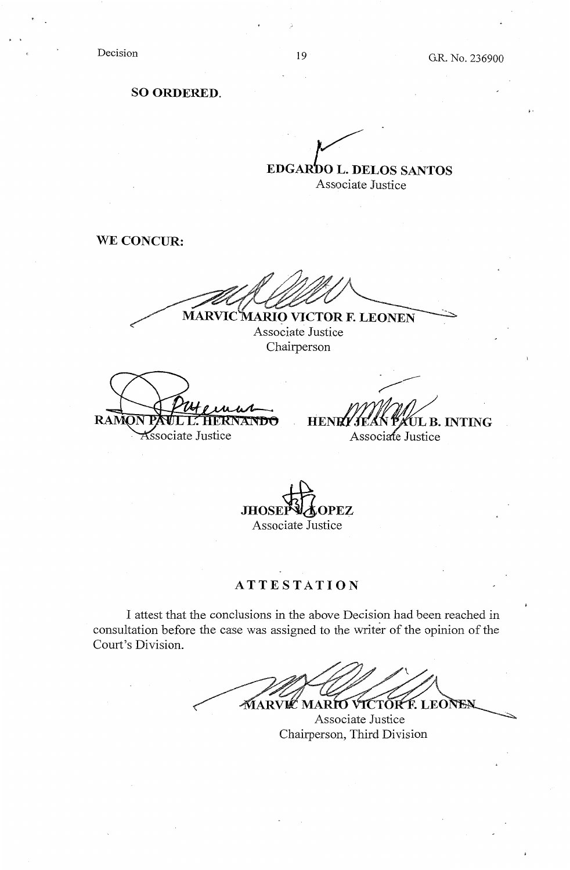Decision

•·

**SO ORDERED.** 

 $\overline{V}$ **EDGARDO L. DELOS SANTOS** Associate Justice

**WE CONCUR:** 

**MARVIC MARIO VICTOR F. LEONEN** 

Associate Justice Chairperson

RAM **Associate Justice** 

**HENR LIEAN PAUL B. INTING**<br>Associate Justice

JHOSEPVAOPEZ Associate Justice

# **ATTESTATION**

I attest that the conclusions in the above Decision had been reached in consultation before the case was assigned to the writer of the opinion of the Court's Division.

MARVIC MARIO VICTOR F. LEONEN

Associate Justice Chairperson, Third Division